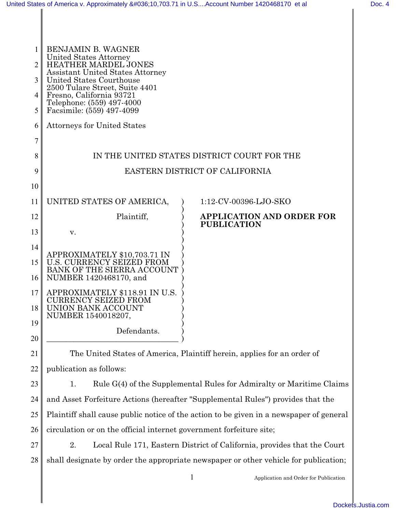| 1  | <b>BENJAMIN B. WAGNER</b>                                           |                                                                         |  |  |
|----|---------------------------------------------------------------------|-------------------------------------------------------------------------|--|--|
| 2  | United States Attorney<br><b>HEATHER MARDEL JONES</b>               |                                                                         |  |  |
| 3  | <b>Assistant United States Attorney</b><br>United States Courthouse |                                                                         |  |  |
|    | 2500 Tulare Street, Suite 4401                                      |                                                                         |  |  |
| 4  | Fresno, California 93721<br>Telephone: (559) 497-4000               |                                                                         |  |  |
| 5  | Facsimile: (559) 497-4099                                           |                                                                         |  |  |
| 6  | <b>Attorneys for United States</b>                                  |                                                                         |  |  |
| 7  |                                                                     |                                                                         |  |  |
| 8  | IN THE UNITED STATES DISTRICT COURT FOR THE                         |                                                                         |  |  |
| 9  | EASTERN DISTRICT OF CALIFORNIA                                      |                                                                         |  |  |
| 10 |                                                                     |                                                                         |  |  |
| 11 | UNITED STATES OF AMERICA,                                           | 1:12-CV-00396-LJO-SKO                                                   |  |  |
| 12 | Plaintiff,                                                          | <b>APPLICATION AND ORDER FOR</b>                                        |  |  |
| 13 | v.                                                                  | <b>PUBLICATION</b>                                                      |  |  |
| 14 |                                                                     |                                                                         |  |  |
| 15 | APPROXIMATELY \$10,703.71 IN<br><b>U.S. CURRENCY SEIZED FROM</b>    |                                                                         |  |  |
| 16 | BANK OF THE SIERRA ACCOUNT<br>NUMBER 1420468170, and                |                                                                         |  |  |
|    |                                                                     |                                                                         |  |  |
| 17 | APPROXIMATELY \$118.91 IN U.S.<br>CURRENCY SEIZED FROM              |                                                                         |  |  |
| 18 | UNION BANK ACCOUNT<br>NUMBER 1540018207,                            |                                                                         |  |  |
| 19 | Defendants.                                                         |                                                                         |  |  |
| 20 |                                                                     |                                                                         |  |  |
| 21 |                                                                     | The United States of America, Plaintiff herein, applies for an order of |  |  |
| 22 | publication as follows:                                             |                                                                         |  |  |
| 23 | 1.                                                                  | Rule G(4) of the Supplemental Rules for Admiralty or Maritime Clair     |  |  |

24 25 26 1. Rule G(4) of the Supplemental Rules for Admiralty or Maritime Claims and Asset Forfeiture Actions (hereafter "Supplemental Rules") provides that the Plaintiff shall cause public notice of the action to be given in a newspaper of general circulation or on the official internet government forfeiture site;

27 28 2. Local Rule 171, Eastern District of California, provides that the Court shall designate by order the appropriate newspaper or other vehicle for publication;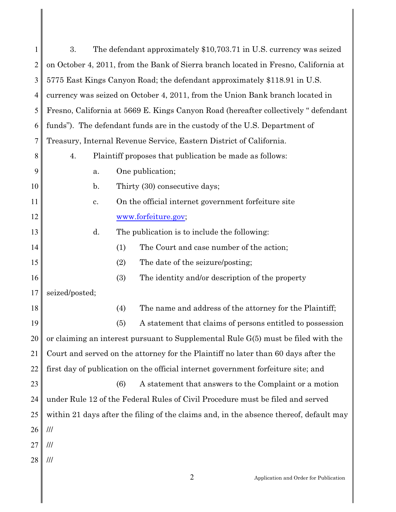| 1  | 3.                                                                                     | The defendant approximately \$10,703.71 in U.S. currency was seized |  |
|----|----------------------------------------------------------------------------------------|---------------------------------------------------------------------|--|
| 2  | on October 4, 2011, from the Bank of Sierra branch located in Fresno, California at    |                                                                     |  |
| 3  | 5775 East Kings Canyon Road; the defendant approximately \$118.91 in U.S.              |                                                                     |  |
| 4  | currency was seized on October 4, 2011, from the Union Bank branch located in          |                                                                     |  |
| 5  | Fresno, California at 5669 E. Kings Canyon Road (hereafter collectively "defendant     |                                                                     |  |
| 6  | funds"). The defendant funds are in the custody of the U.S. Department of              |                                                                     |  |
| 7  | Treasury, Internal Revenue Service, Eastern District of California.                    |                                                                     |  |
| 8  | Plaintiff proposes that publication be made as follows:<br>4.                          |                                                                     |  |
| 9  | a.                                                                                     | One publication;                                                    |  |
| 10 | Thirty (30) consecutive days;<br>$\mathbf{b}$ .                                        |                                                                     |  |
| 11 | c.                                                                                     | On the official internet government forfeiture site                 |  |
| 12 | www.forfeiture.gov;                                                                    |                                                                     |  |
| 13 | d.                                                                                     | The publication is to include the following:                        |  |
| 14 | (1)                                                                                    | The Court and case number of the action;                            |  |
| 15 | (2)                                                                                    | The date of the seizure/posting;                                    |  |
| 16 | (3)                                                                                    | The identity and/or description of the property                     |  |
| 17 | seized/posted;                                                                         |                                                                     |  |
| 18 | (4)                                                                                    | The name and address of the attorney for the Plaintiff;             |  |
| 19 | (5)                                                                                    | A statement that claims of persons entitled to possession           |  |
| 20 | or claiming an interest pursuant to Supplemental Rule G(5) must be filed with the      |                                                                     |  |
| 21 | Court and served on the attorney for the Plaintiff no later than 60 days after the     |                                                                     |  |
| 22 | first day of publication on the official internet government forfeiture site; and      |                                                                     |  |
| 23 | (6)                                                                                    | A statement that answers to the Complaint or a motion               |  |
| 24 | under Rule 12 of the Federal Rules of Civil Procedure must be filed and served         |                                                                     |  |
| 25 | within 21 days after the filing of the claims and, in the absence thereof, default may |                                                                     |  |
| 26 | $^{\prime\prime\prime}$                                                                |                                                                     |  |
| 27 | ///                                                                                    |                                                                     |  |
| 28 | ///                                                                                    |                                                                     |  |
|    |                                                                                        | $\overline{2}$<br>Application and Order for Publication             |  |
|    |                                                                                        |                                                                     |  |